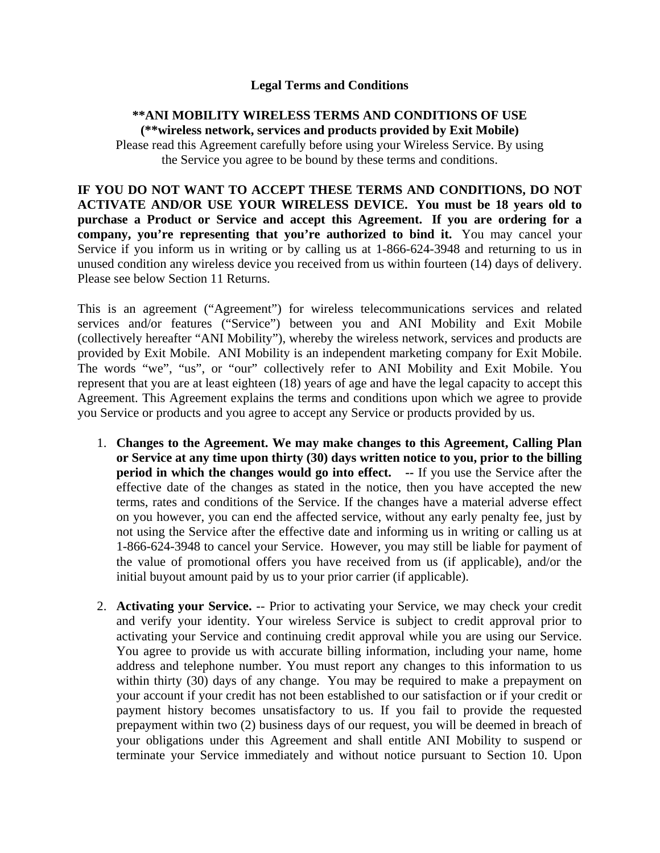### **Legal Terms and Conditions**

### **\*\*ANI MOBILITY WIRELESS TERMS AND CONDITIONS OF USE (\*\*wireless network, services and products provided by Exit Mobile)**

Please read this Agreement carefully before using your Wireless Service. By using the Service you agree to be bound by these terms and conditions.

**IF YOU DO NOT WANT TO ACCEPT THESE TERMS AND CONDITIONS, DO NOT ACTIVATE AND/OR USE YOUR WIRELESS DEVICE. You must be 18 years old to purchase a Product or Service and accept this Agreement. If you are ordering for a company, you're representing that you're authorized to bind it.** You may cancel your Service if you inform us in writing or by calling us at 1-866-624-3948 and returning to us in unused condition any wireless device you received from us within fourteen (14) days of delivery. Please see below Section 11 Returns.

This is an agreement ("Agreement") for wireless telecommunications services and related services and/or features ("Service") between you and ANI Mobility and Exit Mobile (collectively hereafter "ANI Mobility"), whereby the wireless network, services and products are provided by Exit Mobile. ANI Mobility is an independent marketing company for Exit Mobile. The words "we", "us", or "our" collectively refer to ANI Mobility and Exit Mobile. You represent that you are at least eighteen (18) years of age and have the legal capacity to accept this Agreement. This Agreement explains the terms and conditions upon which we agree to provide you Service or products and you agree to accept any Service or products provided by us.

- 1. **Changes to the Agreement. We may make changes to this Agreement, Calling Plan or Service at any time upon thirty (30) days written notice to you, prior to the billing period in which the changes would go into effect.** -- If you use the Service after the effective date of the changes as stated in the notice, then you have accepted the new terms, rates and conditions of the Service. If the changes have a material adverse effect on you however, you can end the affected service, without any early penalty fee, just by not using the Service after the effective date and informing us in writing or calling us at 1-866-624-3948 to cancel your Service. However, you may still be liable for payment of the value of promotional offers you have received from us (if applicable), and/or the initial buyout amount paid by us to your prior carrier (if applicable).
- 2. **Activating your Service.** -- Prior to activating your Service, we may check your credit and verify your identity. Your wireless Service is subject to credit approval prior to activating your Service and continuing credit approval while you are using our Service. You agree to provide us with accurate billing information, including your name, home address and telephone number. You must report any changes to this information to us within thirty (30) days of any change. You may be required to make a prepayment on your account if your credit has not been established to our satisfaction or if your credit or payment history becomes unsatisfactory to us. If you fail to provide the requested prepayment within two (2) business days of our request, you will be deemed in breach of your obligations under this Agreement and shall entitle ANI Mobility to suspend or terminate your Service immediately and without notice pursuant to Section 10. Upon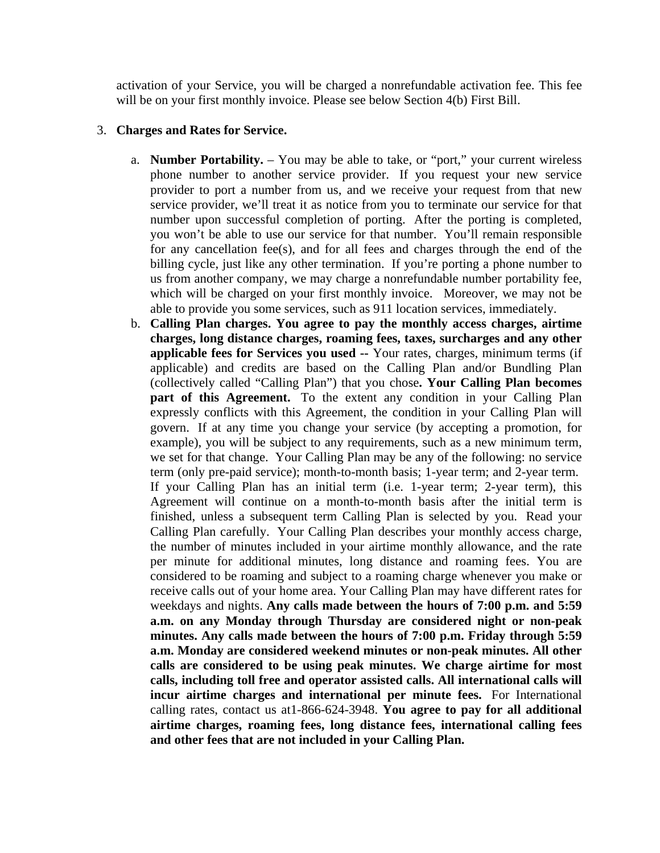activation of your Service, you will be charged a nonrefundable activation fee. This fee will be on your first monthly invoice. Please see below Section 4(b) First Bill.

#### 3. **Charges and Rates for Service.**

- a. **Number Portability.** You may be able to take, or "port," your current wireless phone number to another service provider. If you request your new service provider to port a number from us, and we receive your request from that new service provider, we'll treat it as notice from you to terminate our service for that number upon successful completion of porting. After the porting is completed, you won't be able to use our service for that number. You'll remain responsible for any cancellation fee(s), and for all fees and charges through the end of the billing cycle, just like any other termination. If you're porting a phone number to us from another company, we may charge a nonrefundable number portability fee, which will be charged on your first monthly invoice. Moreover, we may not be able to provide you some services, such as 911 location services, immediately.
- b. **Calling Plan charges. You agree to pay the monthly access charges, airtime charges, long distance charges, roaming fees, taxes, surcharges and any other applicable fees for Services you used --** Your rates, charges, minimum terms (if applicable) and credits are based on the Calling Plan and/or Bundling Plan (collectively called "Calling Plan") that you chose**. Your Calling Plan becomes part of this Agreement.** To the extent any condition in your Calling Plan expressly conflicts with this Agreement, the condition in your Calling Plan will govern. If at any time you change your service (by accepting a promotion, for example), you will be subject to any requirements, such as a new minimum term, we set for that change. Your Calling Plan may be any of the following: no service term (only pre-paid service); month-to-month basis; 1-year term; and 2-year term. If your Calling Plan has an initial term (i.e. 1-year term; 2-year term), this Agreement will continue on a month-to-month basis after the initial term is finished, unless a subsequent term Calling Plan is selected by you. Read your Calling Plan carefully. Your Calling Plan describes your monthly access charge, the number of minutes included in your airtime monthly allowance, and the rate per minute for additional minutes, long distance and roaming fees. You are considered to be roaming and subject to a roaming charge whenever you make or receive calls out of your home area. Your Calling Plan may have different rates for weekdays and nights. **Any calls made between the hours of 7:00 p.m. and 5:59 a.m. on any Monday through Thursday are considered night or non-peak minutes. Any calls made between the hours of 7:00 p.m. Friday through 5:59 a.m. Monday are considered weekend minutes or non-peak minutes. All other calls are considered to be using peak minutes. We charge airtime for most calls, including toll free and operator assisted calls. All international calls will incur airtime charges and international per minute fees.** For International calling rates, contact us at1-866-624-3948. **You agree to pay for all additional airtime charges, roaming fees, long distance fees, international calling fees and other fees that are not included in your Calling Plan.**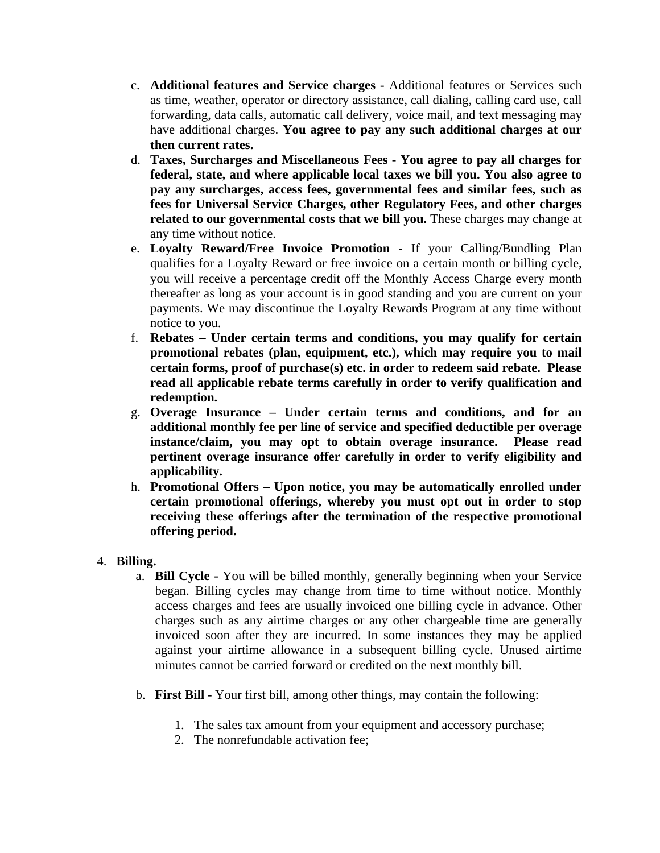- c. **Additional features and Service charges** Additional features or Services such as time, weather, operator or directory assistance, call dialing, calling card use, call forwarding, data calls, automatic call delivery, voice mail, and text messaging may have additional charges. **You agree to pay any such additional charges at our then current rates.**
- d. **Taxes, Surcharges and Miscellaneous Fees You agree to pay all charges for federal, state, and where applicable local taxes we bill you. You also agree to pay any surcharges, access fees, governmental fees and similar fees, such as fees for Universal Service Charges, other Regulatory Fees, and other charges related to our governmental costs that we bill you.** These charges may change at any time without notice.
- e. **Loyalty Reward/Free Invoice Promotion** If your Calling/Bundling Plan qualifies for a Loyalty Reward or free invoice on a certain month or billing cycle, you will receive a percentage credit off the Monthly Access Charge every month thereafter as long as your account is in good standing and you are current on your payments. We may discontinue the Loyalty Rewards Program at any time without notice to you.
- f. **Rebates Under certain terms and conditions, you may qualify for certain promotional rebates (plan, equipment, etc.), which may require you to mail certain forms, proof of purchase(s) etc. in order to redeem said rebate. Please read all applicable rebate terms carefully in order to verify qualification and redemption.**
- g. **Overage Insurance Under certain terms and conditions, and for an additional monthly fee per line of service and specified deductible per overage instance/claim, you may opt to obtain overage insurance. Please read pertinent overage insurance offer carefully in order to verify eligibility and applicability.**
- h. **Promotional Offers Upon notice, you may be automatically enrolled under certain promotional offerings, whereby you must opt out in order to stop receiving these offerings after the termination of the respective promotional offering period.**

## 4. **Billing.**

- a. **Bill Cycle** You will be billed monthly, generally beginning when your Service began. Billing cycles may change from time to time without notice. Monthly access charges and fees are usually invoiced one billing cycle in advance. Other charges such as any airtime charges or any other chargeable time are generally invoiced soon after they are incurred. In some instances they may be applied against your airtime allowance in a subsequent billing cycle. Unused airtime minutes cannot be carried forward or credited on the next monthly bill.
- b. **First Bill** Your first bill, among other things, may contain the following:
	- 1. The sales tax amount from your equipment and accessory purchase;
	- 2. The nonrefundable activation fee;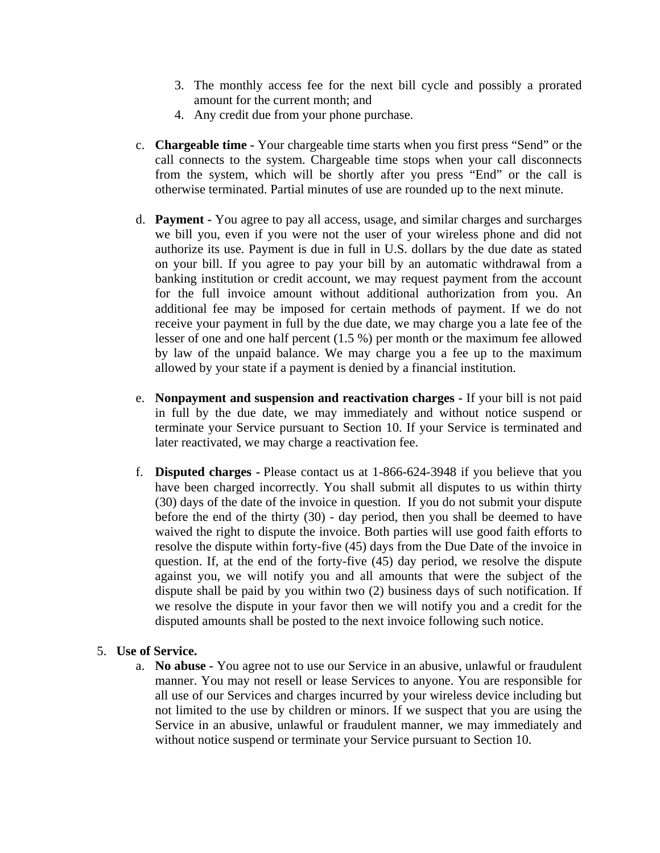- 3. The monthly access fee for the next bill cycle and possibly a prorated amount for the current month; and
- 4. Any credit due from your phone purchase.
- c. **Chargeable time** Your chargeable time starts when you first press "Send" or the call connects to the system. Chargeable time stops when your call disconnects from the system, which will be shortly after you press "End" or the call is otherwise terminated. Partial minutes of use are rounded up to the next minute.
- d. **Payment** You agree to pay all access, usage, and similar charges and surcharges we bill you, even if you were not the user of your wireless phone and did not authorize its use. Payment is due in full in U.S. dollars by the due date as stated on your bill. If you agree to pay your bill by an automatic withdrawal from a banking institution or credit account, we may request payment from the account for the full invoice amount without additional authorization from you. An additional fee may be imposed for certain methods of payment. If we do not receive your payment in full by the due date, we may charge you a late fee of the lesser of one and one half percent (1.5 %) per month or the maximum fee allowed by law of the unpaid balance. We may charge you a fee up to the maximum allowed by your state if a payment is denied by a financial institution.
- e. **Nonpayment and suspension and reactivation charges** If your bill is not paid in full by the due date, we may immediately and without notice suspend or terminate your Service pursuant to Section 10. If your Service is terminated and later reactivated, we may charge a reactivation fee.
- f. **Disputed charges** Please contact us at 1-866-624-3948 if you believe that you have been charged incorrectly. You shall submit all disputes to us within thirty (30) days of the date of the invoice in question. If you do not submit your dispute before the end of the thirty (30) - day period, then you shall be deemed to have waived the right to dispute the invoice. Both parties will use good faith efforts to resolve the dispute within forty-five (45) days from the Due Date of the invoice in question. If, at the end of the forty-five (45) day period, we resolve the dispute against you, we will notify you and all amounts that were the subject of the dispute shall be paid by you within two (2) business days of such notification. If we resolve the dispute in your favor then we will notify you and a credit for the disputed amounts shall be posted to the next invoice following such notice.

#### 5. **Use of Service.**

a. **No abuse -** You agree not to use our Service in an abusive, unlawful or fraudulent manner. You may not resell or lease Services to anyone. You are responsible for all use of our Services and charges incurred by your wireless device including but not limited to the use by children or minors. If we suspect that you are using the Service in an abusive, unlawful or fraudulent manner, we may immediately and without notice suspend or terminate your Service pursuant to Section 10.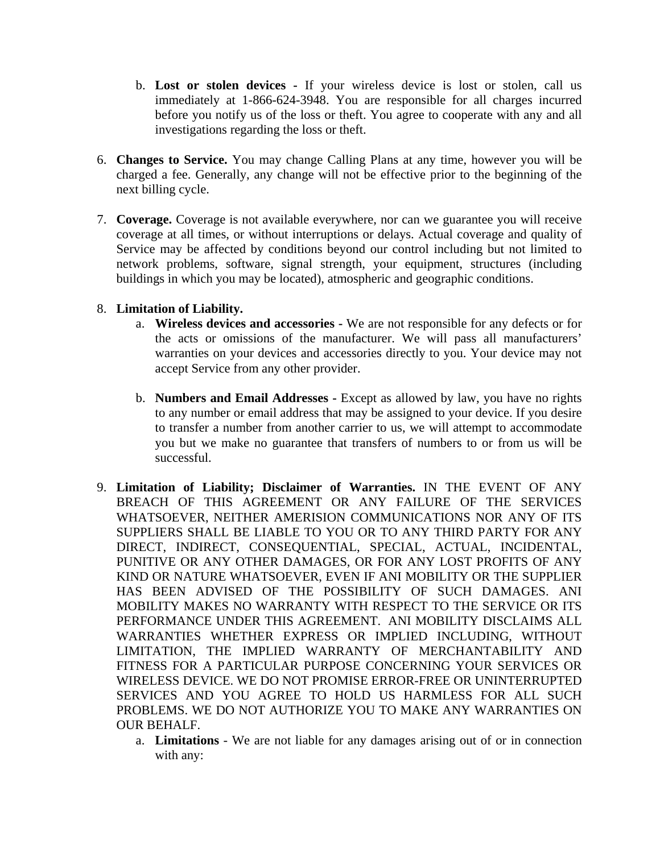- b. **Lost or stolen devices** If your wireless device is lost or stolen, call us immediately at 1-866-624-3948. You are responsible for all charges incurred before you notify us of the loss or theft. You agree to cooperate with any and all investigations regarding the loss or theft.
- 6. **Changes to Service.** You may change Calling Plans at any time, however you will be charged a fee. Generally, any change will not be effective prior to the beginning of the next billing cycle.
- 7. **Coverage.** Coverage is not available everywhere, nor can we guarantee you will receive coverage at all times, or without interruptions or delays. Actual coverage and quality of Service may be affected by conditions beyond our control including but not limited to network problems, software, signal strength, your equipment, structures (including buildings in which you may be located), atmospheric and geographic conditions.

### 8. **Limitation of Liability.**

- a. **Wireless devices and accessories** We are not responsible for any defects or for the acts or omissions of the manufacturer. We will pass all manufacturers' warranties on your devices and accessories directly to you. Your device may not accept Service from any other provider.
- b. **Numbers and Email Addresses** Except as allowed by law, you have no rights to any number or email address that may be assigned to your device. If you desire to transfer a number from another carrier to us, we will attempt to accommodate you but we make no guarantee that transfers of numbers to or from us will be successful.
- 9. **Limitation of Liability; Disclaimer of Warranties.** IN THE EVENT OF ANY BREACH OF THIS AGREEMENT OR ANY FAILURE OF THE SERVICES WHATSOEVER, NEITHER AMERISION COMMUNICATIONS NOR ANY OF ITS SUPPLIERS SHALL BE LIABLE TO YOU OR TO ANY THIRD PARTY FOR ANY DIRECT, INDIRECT, CONSEQUENTIAL, SPECIAL, ACTUAL, INCIDENTAL, PUNITIVE OR ANY OTHER DAMAGES, OR FOR ANY LOST PROFITS OF ANY KIND OR NATURE WHATSOEVER, EVEN IF ANI MOBILITY OR THE SUPPLIER HAS BEEN ADVISED OF THE POSSIBILITY OF SUCH DAMAGES. ANI MOBILITY MAKES NO WARRANTY WITH RESPECT TO THE SERVICE OR ITS PERFORMANCE UNDER THIS AGREEMENT. ANI MOBILITY DISCLAIMS ALL WARRANTIES WHETHER EXPRESS OR IMPLIED INCLUDING, WITHOUT LIMITATION, THE IMPLIED WARRANTY OF MERCHANTABILITY AND FITNESS FOR A PARTICULAR PURPOSE CONCERNING YOUR SERVICES OR WIRELESS DEVICE. WE DO NOT PROMISE ERROR-FREE OR UNINTERRUPTED SERVICES AND YOU AGREE TO HOLD US HARMLESS FOR ALL SUCH PROBLEMS. WE DO NOT AUTHORIZE YOU TO MAKE ANY WARRANTIES ON OUR BEHALF.
	- a. **Limitations** We are not liable for any damages arising out of or in connection with any: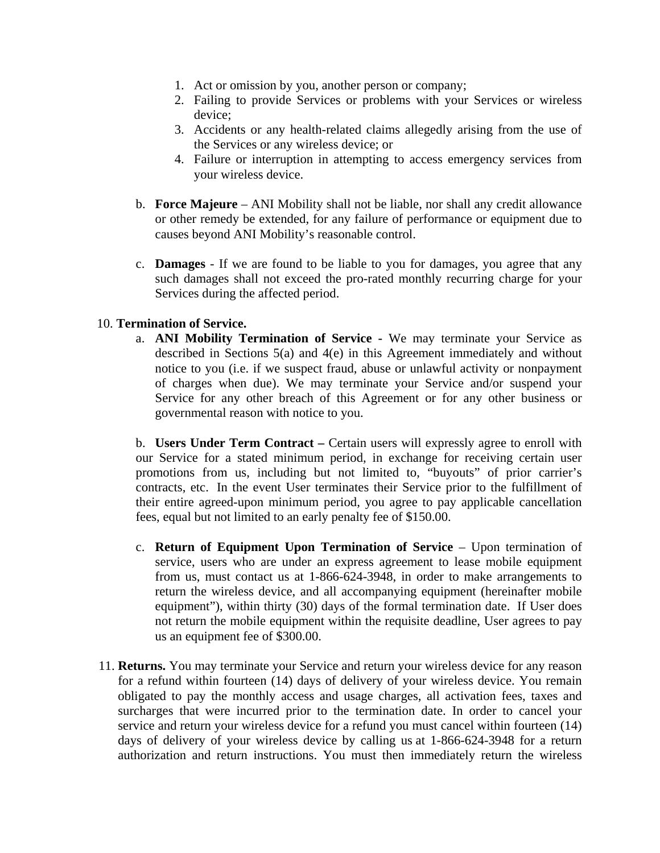- 1. Act or omission by you, another person or company;
- 2. Failing to provide Services or problems with your Services or wireless device;
- 3. Accidents or any health-related claims allegedly arising from the use of the Services or any wireless device; or
- 4. Failure or interruption in attempting to access emergency services from your wireless device.
- b. **Force Majeure** ANI Mobility shall not be liable, nor shall any credit allowance or other remedy be extended, for any failure of performance or equipment due to causes beyond ANI Mobility's reasonable control.
- c. **Damages** If we are found to be liable to you for damages, you agree that any such damages shall not exceed the pro-rated monthly recurring charge for your Services during the affected period.

### 10. **Termination of Service.**

a. **ANI Mobility Termination of Service -** We may terminate your Service as described in Sections 5(a) and 4(e) in this Agreement immediately and without notice to you (i.e. if we suspect fraud, abuse or unlawful activity or nonpayment of charges when due). We may terminate your Service and/or suspend your Service for any other breach of this Agreement or for any other business or governmental reason with notice to you.

b. **Users Under Term Contract –** Certain users will expressly agree to enroll with our Service for a stated minimum period, in exchange for receiving certain user promotions from us, including but not limited to, "buyouts" of prior carrier's contracts, etc. In the event User terminates their Service prior to the fulfillment of their entire agreed-upon minimum period, you agree to pay applicable cancellation fees, equal but not limited to an early penalty fee of \$150.00.

- c. **Return of Equipment Upon Termination of Service**  Upon termination of service, users who are under an express agreement to lease mobile equipment from us, must contact us at 1-866-624-3948, in order to make arrangements to return the wireless device, and all accompanying equipment (hereinafter mobile equipment"), within thirty (30) days of the formal termination date. If User does not return the mobile equipment within the requisite deadline, User agrees to pay us an equipment fee of \$300.00.
- 11. **Returns.** You may terminate your Service and return your wireless device for any reason for a refund within fourteen (14) days of delivery of your wireless device. You remain obligated to pay the monthly access and usage charges, all activation fees, taxes and surcharges that were incurred prior to the termination date. In order to cancel your service and return your wireless device for a refund you must cancel within fourteen (14) days of delivery of your wireless device by calling us at 1-866-624-3948 for a return authorization and return instructions. You must then immediately return the wireless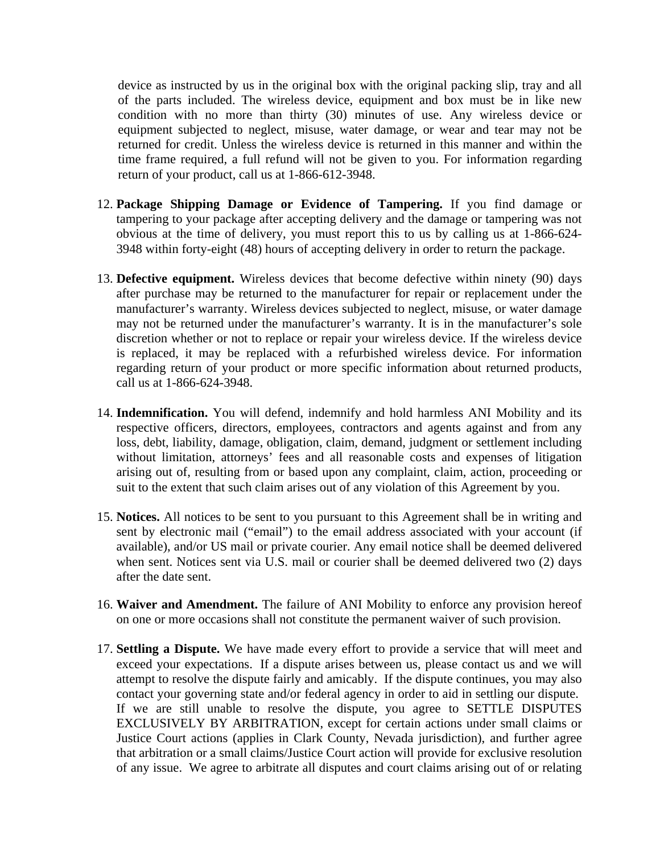device as instructed by us in the original box with the original packing slip, tray and all of the parts included. The wireless device, equipment and box must be in like new condition with no more than thirty (30) minutes of use. Any wireless device or equipment subjected to neglect, misuse, water damage, or wear and tear may not be returned for credit. Unless the wireless device is returned in this manner and within the time frame required, a full refund will not be given to you. For information regarding return of your product, call us at 1-866-612-3948.

- 12. **Package Shipping Damage or Evidence of Tampering.** If you find damage or tampering to your package after accepting delivery and the damage or tampering was not obvious at the time of delivery, you must report this to us by calling us at 1-866-624- 3948 within forty-eight (48) hours of accepting delivery in order to return the package.
- 13. **Defective equipment.** Wireless devices that become defective within ninety (90) days after purchase may be returned to the manufacturer for repair or replacement under the manufacturer's warranty. Wireless devices subjected to neglect, misuse, or water damage may not be returned under the manufacturer's warranty. It is in the manufacturer's sole discretion whether or not to replace or repair your wireless device. If the wireless device is replaced, it may be replaced with a refurbished wireless device. For information regarding return of your product or more specific information about returned products, call us at 1-866-624-3948.
- 14. **Indemnification.** You will defend, indemnify and hold harmless ANI Mobility and its respective officers, directors, employees, contractors and agents against and from any loss, debt, liability, damage, obligation, claim, demand, judgment or settlement including without limitation, attorneys' fees and all reasonable costs and expenses of litigation arising out of, resulting from or based upon any complaint, claim, action, proceeding or suit to the extent that such claim arises out of any violation of this Agreement by you.
- 15. **Notices.** All notices to be sent to you pursuant to this Agreement shall be in writing and sent by electronic mail ("email") to the email address associated with your account (if available), and/or US mail or private courier. Any email notice shall be deemed delivered when sent. Notices sent via U.S. mail or courier shall be deemed delivered two (2) days after the date sent.
- 16. **Waiver and Amendment.** The failure of ANI Mobility to enforce any provision hereof on one or more occasions shall not constitute the permanent waiver of such provision.
- 17. **Settling a Dispute.** We have made every effort to provide a service that will meet and exceed your expectations. If a dispute arises between us, please contact us and we will attempt to resolve the dispute fairly and amicably. If the dispute continues, you may also contact your governing state and/or federal agency in order to aid in settling our dispute. If we are still unable to resolve the dispute, you agree to SETTLE DISPUTES EXCLUSIVELY BY ARBITRATION, except for certain actions under small claims or Justice Court actions (applies in Clark County, Nevada jurisdiction), and further agree that arbitration or a small claims/Justice Court action will provide for exclusive resolution of any issue. We agree to arbitrate all disputes and court claims arising out of or relating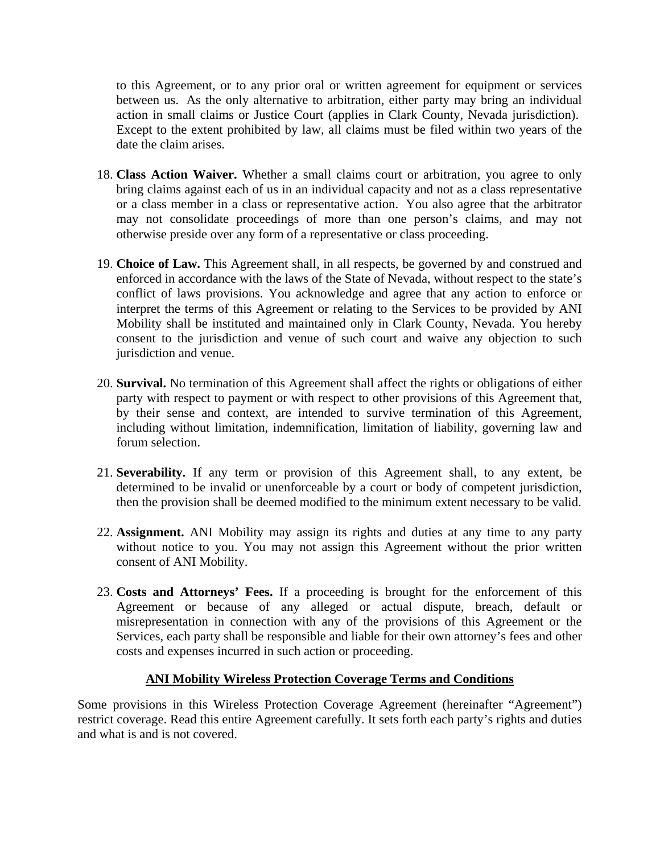to this Agreement, or to any prior oral or written agreement for equipment or services between us. As the only alternative to arbitration, either party may bring an individual action in small claims or Justice Court (applies in Clark County, Nevada jurisdiction). Except to the extent prohibited by law, all claims must be filed within two years of the date the claim arises.

- 18. **Class Action Waiver.** Whether a small claims court or arbitration, you agree to only bring claims against each of us in an individual capacity and not as a class representative or a class member in a class or representative action. You also agree that the arbitrator may not consolidate proceedings of more than one person's claims, and may not otherwise preside over any form of a representative or class proceeding.
- 19. **Choice of Law.** This Agreement shall, in all respects, be governed by and construed and enforced in accordance with the laws of the State of Nevada, without respect to the state's conflict of laws provisions. You acknowledge and agree that any action to enforce or interpret the terms of this Agreement or relating to the Services to be provided by ANI Mobility shall be instituted and maintained only in Clark County, Nevada. You hereby consent to the jurisdiction and venue of such court and waive any objection to such jurisdiction and venue.
- 20. **Survival.** No termination of this Agreement shall affect the rights or obligations of either party with respect to payment or with respect to other provisions of this Agreement that, by their sense and context, are intended to survive termination of this Agreement, including without limitation, indemnification, limitation of liability, governing law and forum selection.
- 21. **Severability.** If any term or provision of this Agreement shall, to any extent, be determined to be invalid or unenforceable by a court or body of competent jurisdiction, then the provision shall be deemed modified to the minimum extent necessary to be valid.
- 22. **Assignment.** ANI Mobility may assign its rights and duties at any time to any party without notice to you. You may not assign this Agreement without the prior written consent of ANI Mobility.
- 23. **Costs and Attorneys' Fees.** If a proceeding is brought for the enforcement of this Agreement or because of any alleged or actual dispute, breach, default or misrepresentation in connection with any of the provisions of this Agreement or the Services, each party shall be responsible and liable for their own attorney's fees and other costs and expenses incurred in such action or proceeding.

#### **ANI Mobility Wireless Protection Coverage Terms and Conditions**

Some provisions in this Wireless Protection Coverage Agreement (hereinafter "Agreement") restrict coverage. Read this entire Agreement carefully. It sets forth each party's rights and duties and what is and is not covered.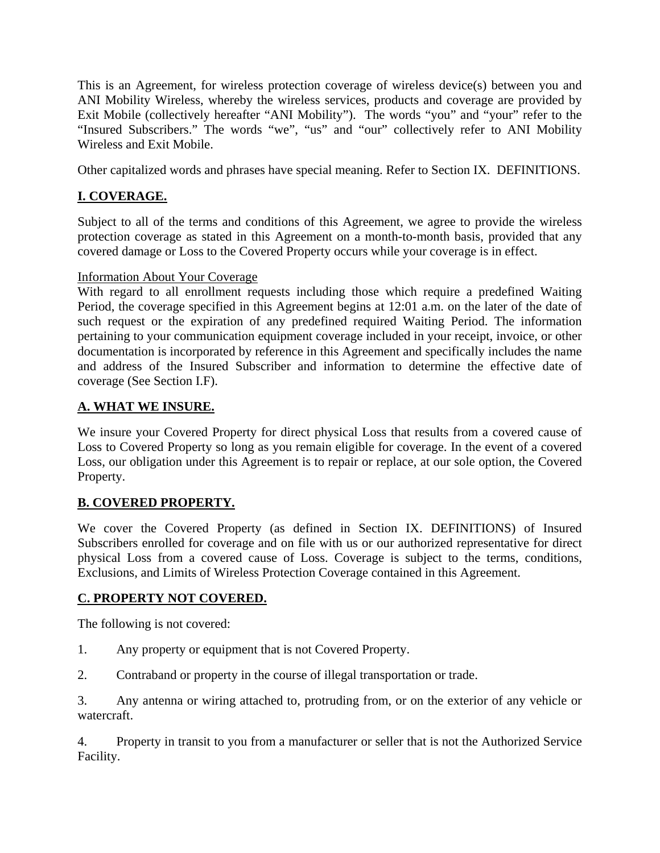This is an Agreement, for wireless protection coverage of wireless device(s) between you and ANI Mobility Wireless, whereby the wireless services, products and coverage are provided by Exit Mobile (collectively hereafter "ANI Mobility"). The words "you" and "your" refer to the "Insured Subscribers." The words "we", "us" and "our" collectively refer to ANI Mobility Wireless and Exit Mobile.

Other capitalized words and phrases have special meaning. Refer to Section IX. DEFINITIONS.

# **I. COVERAGE.**

Subject to all of the terms and conditions of this Agreement, we agree to provide the wireless protection coverage as stated in this Agreement on a month-to-month basis, provided that any covered damage or Loss to the Covered Property occurs while your coverage is in effect.

## Information About Your Coverage

With regard to all enrollment requests including those which require a predefined Waiting Period, the coverage specified in this Agreement begins at 12:01 a.m. on the later of the date of such request or the expiration of any predefined required Waiting Period. The information pertaining to your communication equipment coverage included in your receipt, invoice, or other documentation is incorporated by reference in this Agreement and specifically includes the name and address of the Insured Subscriber and information to determine the effective date of coverage (See Section I.F).

## **A. WHAT WE INSURE.**

We insure your Covered Property for direct physical Loss that results from a covered cause of Loss to Covered Property so long as you remain eligible for coverage. In the event of a covered Loss, our obligation under this Agreement is to repair or replace, at our sole option, the Covered Property.

# **B. COVERED PROPERTY.**

We cover the Covered Property (as defined in Section IX. DEFINITIONS) of Insured Subscribers enrolled for coverage and on file with us or our authorized representative for direct physical Loss from a covered cause of Loss. Coverage is subject to the terms, conditions, Exclusions, and Limits of Wireless Protection Coverage contained in this Agreement.

# **C. PROPERTY NOT COVERED.**

The following is not covered:

- 1. Any property or equipment that is not Covered Property.
- 2. Contraband or property in the course of illegal transportation or trade.

3. Any antenna or wiring attached to, protruding from, or on the exterior of any vehicle or watercraft.

4. Property in transit to you from a manufacturer or seller that is not the Authorized Service Facility.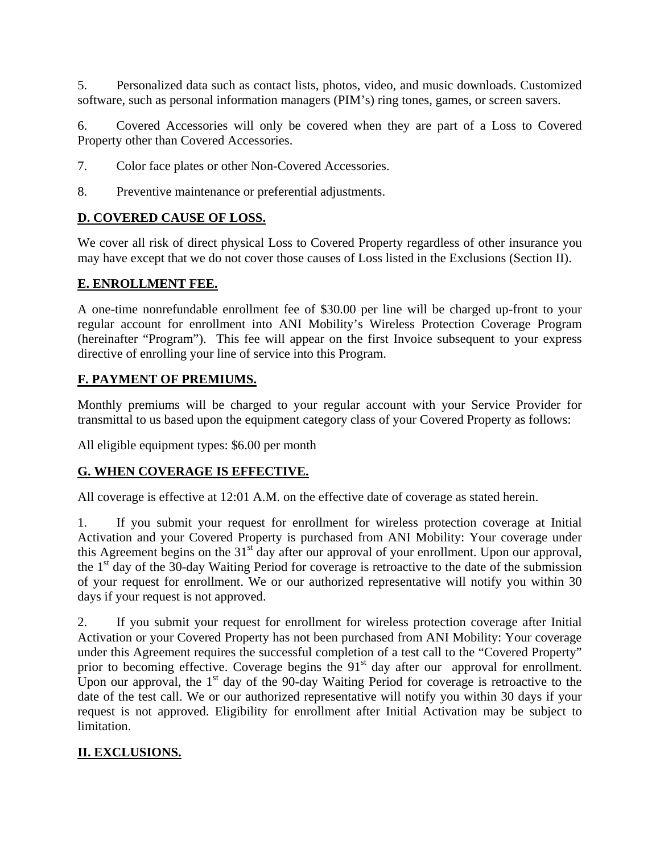5. Personalized data such as contact lists, photos, video, and music downloads. Customized software, such as personal information managers (PIM's) ring tones, games, or screen savers.

6. Covered Accessories will only be covered when they are part of a Loss to Covered Property other than Covered Accessories.

- 7. Color face plates or other Non-Covered Accessories.
- 8. Preventive maintenance or preferential adjustments.

# **D. COVERED CAUSE OF LOSS.**

We cover all risk of direct physical Loss to Covered Property regardless of other insurance you may have except that we do not cover those causes of Loss listed in the Exclusions (Section II).

### **E. ENROLLMENT FEE.**

A one-time nonrefundable enrollment fee of \$30.00 per line will be charged up-front to your regular account for enrollment into ANI Mobility's Wireless Protection Coverage Program (hereinafter "Program"). This fee will appear on the first Invoice subsequent to your express directive of enrolling your line of service into this Program.

## **F. PAYMENT OF PREMIUMS.**

Monthly premiums will be charged to your regular account with your Service Provider for transmittal to us based upon the equipment category class of your Covered Property as follows:

All eligible equipment types: \$6.00 per month

## **G. WHEN COVERAGE IS EFFECTIVE.**

All coverage is effective at 12:01 A.M. on the effective date of coverage as stated herein.

1. If you submit your request for enrollment for wireless protection coverage at Initial Activation and your Covered Property is purchased from ANI Mobility: Your coverage under this Agreement begins on the 31<sup>st</sup> day after our approval of your enrollment. Upon our approval, the 1<sup>st</sup> day of the 30-day Waiting Period for coverage is retroactive to the date of the submission of your request for enrollment. We or our authorized representative will notify you within 30 days if your request is not approved.

2. If you submit your request for enrollment for wireless protection coverage after Initial Activation or your Covered Property has not been purchased from ANI Mobility: Your coverage under this Agreement requires the successful completion of a test call to the "Covered Property" prior to becoming effective. Coverage begins the  $91<sup>st</sup>$  day after our approval for enrollment. Upon our approval, the  $1<sup>st</sup>$  day of the 90-day Waiting Period for coverage is retroactive to the date of the test call. We or our authorized representative will notify you within 30 days if your request is not approved. Eligibility for enrollment after Initial Activation may be subject to limitation.

# **II. EXCLUSIONS.**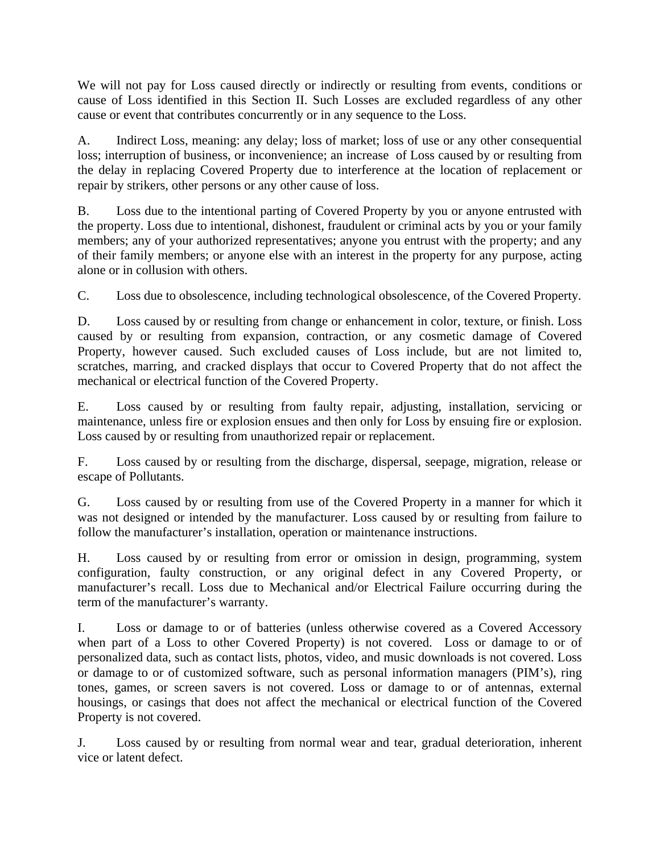We will not pay for Loss caused directly or indirectly or resulting from events, conditions or cause of Loss identified in this Section II. Such Losses are excluded regardless of any other cause or event that contributes concurrently or in any sequence to the Loss.

A. Indirect Loss, meaning: any delay; loss of market; loss of use or any other consequential loss; interruption of business, or inconvenience; an increase of Loss caused by or resulting from the delay in replacing Covered Property due to interference at the location of replacement or repair by strikers, other persons or any other cause of loss.

B. Loss due to the intentional parting of Covered Property by you or anyone entrusted with the property. Loss due to intentional, dishonest, fraudulent or criminal acts by you or your family members; any of your authorized representatives; anyone you entrust with the property; and any of their family members; or anyone else with an interest in the property for any purpose, acting alone or in collusion with others.

C. Loss due to obsolescence, including technological obsolescence, of the Covered Property.

D. Loss caused by or resulting from change or enhancement in color, texture, or finish. Loss caused by or resulting from expansion, contraction, or any cosmetic damage of Covered Property, however caused. Such excluded causes of Loss include, but are not limited to, scratches, marring, and cracked displays that occur to Covered Property that do not affect the mechanical or electrical function of the Covered Property.

E. Loss caused by or resulting from faulty repair, adjusting, installation, servicing or maintenance, unless fire or explosion ensues and then only for Loss by ensuing fire or explosion. Loss caused by or resulting from unauthorized repair or replacement.

F. Loss caused by or resulting from the discharge, dispersal, seepage, migration, release or escape of Pollutants.

G. Loss caused by or resulting from use of the Covered Property in a manner for which it was not designed or intended by the manufacturer. Loss caused by or resulting from failure to follow the manufacturer's installation, operation or maintenance instructions.

H. Loss caused by or resulting from error or omission in design, programming, system configuration, faulty construction, or any original defect in any Covered Property, or manufacturer's recall. Loss due to Mechanical and/or Electrical Failure occurring during the term of the manufacturer's warranty.

I. Loss or damage to or of batteries (unless otherwise covered as a Covered Accessory when part of a Loss to other Covered Property) is not covered. Loss or damage to or of personalized data, such as contact lists, photos, video, and music downloads is not covered. Loss or damage to or of customized software, such as personal information managers (PIM's), ring tones, games, or screen savers is not covered. Loss or damage to or of antennas, external housings, or casings that does not affect the mechanical or electrical function of the Covered Property is not covered.

J. Loss caused by or resulting from normal wear and tear, gradual deterioration, inherent vice or latent defect.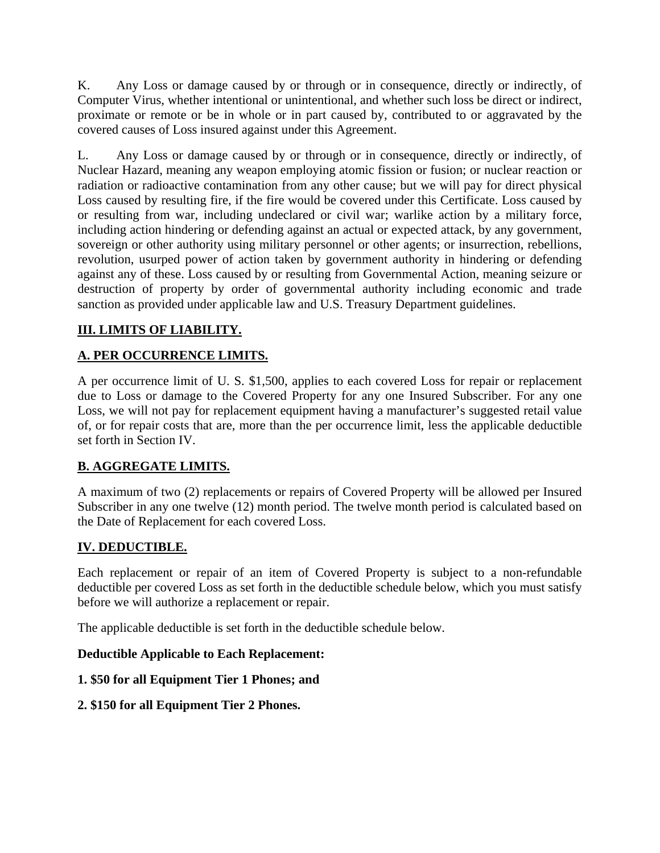K. Any Loss or damage caused by or through or in consequence, directly or indirectly, of Computer Virus, whether intentional or unintentional, and whether such loss be direct or indirect, proximate or remote or be in whole or in part caused by, contributed to or aggravated by the covered causes of Loss insured against under this Agreement.

L. Any Loss or damage caused by or through or in consequence, directly or indirectly, of Nuclear Hazard, meaning any weapon employing atomic fission or fusion; or nuclear reaction or radiation or radioactive contamination from any other cause; but we will pay for direct physical Loss caused by resulting fire, if the fire would be covered under this Certificate. Loss caused by or resulting from war, including undeclared or civil war; warlike action by a military force, including action hindering or defending against an actual or expected attack, by any government, sovereign or other authority using military personnel or other agents; or insurrection, rebellions, revolution, usurped power of action taken by government authority in hindering or defending against any of these. Loss caused by or resulting from Governmental Action, meaning seizure or destruction of property by order of governmental authority including economic and trade sanction as provided under applicable law and U.S. Treasury Department guidelines.

# **III. LIMITS OF LIABILITY.**

# **A. PER OCCURRENCE LIMITS.**

A per occurrence limit of U. S. \$1,500, applies to each covered Loss for repair or replacement due to Loss or damage to the Covered Property for any one Insured Subscriber. For any one Loss, we will not pay for replacement equipment having a manufacturer's suggested retail value of, or for repair costs that are, more than the per occurrence limit, less the applicable deductible set forth in Section IV.

# **B. AGGREGATE LIMITS.**

A maximum of two (2) replacements or repairs of Covered Property will be allowed per Insured Subscriber in any one twelve (12) month period. The twelve month period is calculated based on the Date of Replacement for each covered Loss.

## **IV. DEDUCTIBLE.**

Each replacement or repair of an item of Covered Property is subject to a non-refundable deductible per covered Loss as set forth in the deductible schedule below, which you must satisfy before we will authorize a replacement or repair.

The applicable deductible is set forth in the deductible schedule below.

## **Deductible Applicable to Each Replacement:**

**1. \$50 for all Equipment Tier 1 Phones; and** 

**2. \$150 for all Equipment Tier 2 Phones.**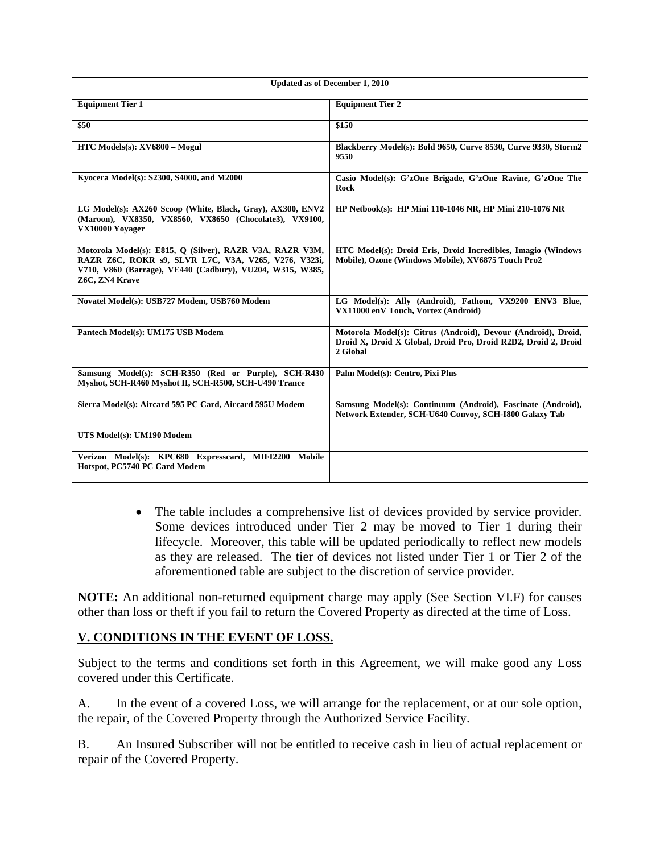| <b>Updated as of December 1, 2010</b>                                                                                                                                                           |                                                                                                                                             |
|-------------------------------------------------------------------------------------------------------------------------------------------------------------------------------------------------|---------------------------------------------------------------------------------------------------------------------------------------------|
| <b>Equipment Tier 1</b>                                                                                                                                                                         | <b>Equipment Tier 2</b>                                                                                                                     |
| \$50                                                                                                                                                                                            | \$150                                                                                                                                       |
| HTC Models(s): XV6800 - Mogul                                                                                                                                                                   | Blackberry Model(s): Bold 9650, Curve 8530, Curve 9330, Storm2<br>9550                                                                      |
| Kyocera Model(s): S2300, S4000, and M2000                                                                                                                                                       | Casio Model(s): G'zOne Brigade, G'zOne Ravine, G'zOne The<br><b>Rock</b>                                                                    |
| LG Model(s): AX260 Scoop (White, Black, Gray), AX300, ENV2<br>(Maroon), VX8350, VX8560, VX8650 (Chocolate3), VX9100,<br>VX10000 Yoyager                                                         | HP Netbook(s): HP Mini 110-1046 NR, HP Mini 210-1076 NR                                                                                     |
| Motorola Model(s): E815, Q (Silver), RAZR V3A, RAZR V3M,<br>RAZR Z6C, ROKR s9, SLVR L7C, V3A, V265, V276, V323i,<br>V710, V860 (Barrage), VE440 (Cadbury), VU204, W315, W385,<br>Z6C, ZN4 Krave | HTC Model(s): Droid Eris, Droid Incredibles, Imagio (Windows<br>Mobile), Ozone (Windows Mobile), XV6875 Touch Pro2                          |
| Novatel Model(s): USB727 Modem, USB760 Modem                                                                                                                                                    | LG Model(s): Ally (Android), Fathom, VX9200 ENV3 Blue,<br>VX11000 enV Touch, Vortex (Android)                                               |
| Pantech Model(s): UM175 USB Modem                                                                                                                                                               | Motorola Model(s): Citrus (Android), Devour (Android), Droid,<br>Droid X, Droid X Global, Droid Pro, Droid R2D2, Droid 2, Droid<br>2 Global |
| Samsung Model(s): SCH-R350 (Red or Purple), SCH-R430<br>Myshot, SCH-R460 Myshot II, SCH-R500, SCH-U490 Trance                                                                                   | Palm Model(s): Centro, Pixi Plus                                                                                                            |
| Sierra Model(s): Aircard 595 PC Card, Aircard 595U Modem                                                                                                                                        | Samsung Model(s): Continuum (Android), Fascinate (Android),<br>Network Extender, SCH-U640 Convoy, SCH-I800 Galaxy Tab                       |
| UTS Model(s): UM190 Modem                                                                                                                                                                       |                                                                                                                                             |
| Verizon Model(s): KPC680 Expresscard, MIFI2200 Mobile<br>Hotspot, PC5740 PC Card Modem                                                                                                          |                                                                                                                                             |

• The table includes a comprehensive list of devices provided by service provider. Some devices introduced under Tier 2 may be moved to Tier 1 during their lifecycle. Moreover, this table will be updated periodically to reflect new models as they are released. The tier of devices not listed under Tier 1 or Tier 2 of the aforementioned table are subject to the discretion of service provider.

**NOTE:** An additional non-returned equipment charge may apply (See Section VI.F) for causes other than loss or theft if you fail to return the Covered Property as directed at the time of Loss.

## **V. CONDITIONS IN THE EVENT OF LOSS.**

Subject to the terms and conditions set forth in this Agreement, we will make good any Loss covered under this Certificate.

A. In the event of a covered Loss, we will arrange for the replacement, or at our sole option, the repair, of the Covered Property through the Authorized Service Facility.

B. An Insured Subscriber will not be entitled to receive cash in lieu of actual replacement or repair of the Covered Property.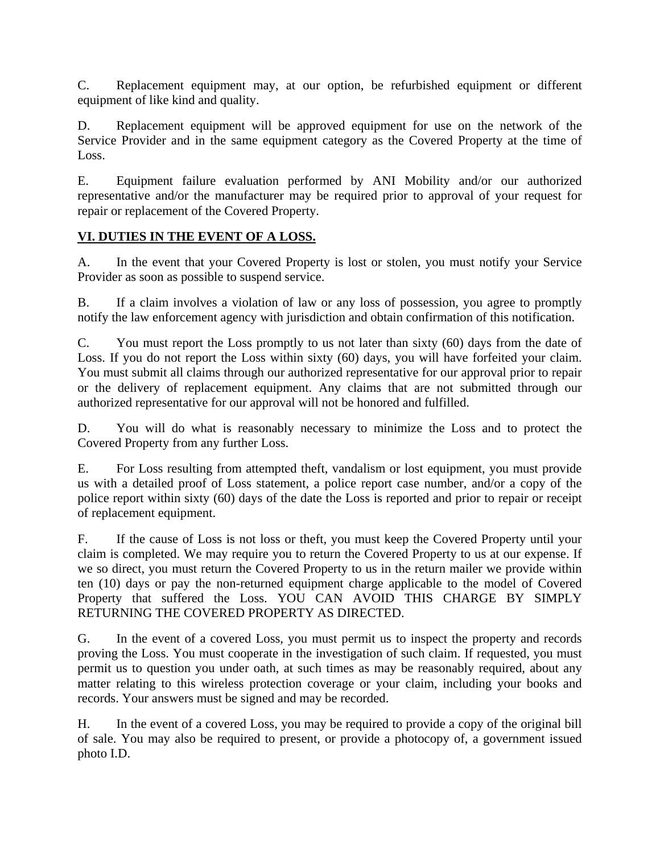C. Replacement equipment may, at our option, be refurbished equipment or different equipment of like kind and quality.

D. Replacement equipment will be approved equipment for use on the network of the Service Provider and in the same equipment category as the Covered Property at the time of Loss.

E. Equipment failure evaluation performed by ANI Mobility and/or our authorized representative and/or the manufacturer may be required prior to approval of your request for repair or replacement of the Covered Property.

# **VI. DUTIES IN THE EVENT OF A LOSS.**

A. In the event that your Covered Property is lost or stolen, you must notify your Service Provider as soon as possible to suspend service.

B. If a claim involves a violation of law or any loss of possession, you agree to promptly notify the law enforcement agency with jurisdiction and obtain confirmation of this notification.

C. You must report the Loss promptly to us not later than sixty (60) days from the date of Loss. If you do not report the Loss within sixty (60) days, you will have forfeited your claim. You must submit all claims through our authorized representative for our approval prior to repair or the delivery of replacement equipment. Any claims that are not submitted through our authorized representative for our approval will not be honored and fulfilled.

D. You will do what is reasonably necessary to minimize the Loss and to protect the Covered Property from any further Loss.

E. For Loss resulting from attempted theft, vandalism or lost equipment, you must provide us with a detailed proof of Loss statement, a police report case number, and/or a copy of the police report within sixty (60) days of the date the Loss is reported and prior to repair or receipt of replacement equipment.

F. If the cause of Loss is not loss or theft, you must keep the Covered Property until your claim is completed. We may require you to return the Covered Property to us at our expense. If we so direct, you must return the Covered Property to us in the return mailer we provide within ten (10) days or pay the non-returned equipment charge applicable to the model of Covered Property that suffered the Loss. YOU CAN AVOID THIS CHARGE BY SIMPLY RETURNING THE COVERED PROPERTY AS DIRECTED.

G. In the event of a covered Loss, you must permit us to inspect the property and records proving the Loss. You must cooperate in the investigation of such claim. If requested, you must permit us to question you under oath, at such times as may be reasonably required, about any matter relating to this wireless protection coverage or your claim, including your books and records. Your answers must be signed and may be recorded.

H. In the event of a covered Loss, you may be required to provide a copy of the original bill of sale. You may also be required to present, or provide a photocopy of, a government issued photo I.D.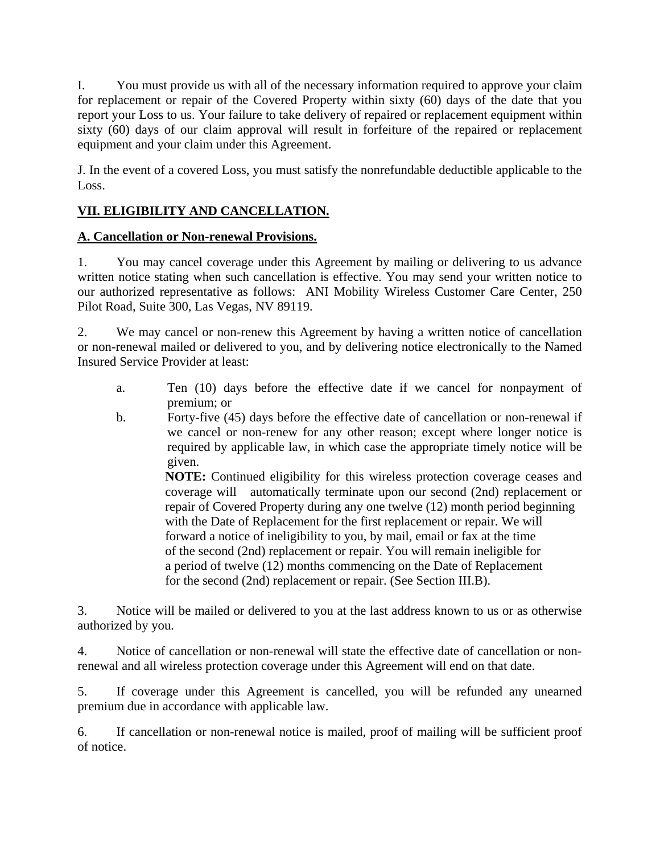I. You must provide us with all of the necessary information required to approve your claim for replacement or repair of the Covered Property within sixty (60) days of the date that you report your Loss to us. Your failure to take delivery of repaired or replacement equipment within sixty (60) days of our claim approval will result in forfeiture of the repaired or replacement equipment and your claim under this Agreement.

J. In the event of a covered Loss, you must satisfy the nonrefundable deductible applicable to the Loss.

# **VII. ELIGIBILITY AND CANCELLATION.**

## **A. Cancellation or Non-renewal Provisions.**

1. You may cancel coverage under this Agreement by mailing or delivering to us advance written notice stating when such cancellation is effective. You may send your written notice to our authorized representative as follows: ANI Mobility Wireless Customer Care Center, 250 Pilot Road, Suite 300, Las Vegas, NV 89119.

2. We may cancel or non-renew this Agreement by having a written notice of cancellation or non-renewal mailed or delivered to you, and by delivering notice electronically to the Named Insured Service Provider at least:

- a. Ten (10) days before the effective date if we cancel for nonpayment of premium; or
- b. Forty-five (45) days before the effective date of cancellation or non-renewal if we cancel or non-renew for any other reason; except where longer notice is required by applicable law, in which case the appropriate timely notice will be given.

**NOTE:** Continued eligibility for this wireless protection coverage ceases and coverage will automatically terminate upon our second (2nd) replacement or repair of Covered Property during any one twelve (12) month period beginning with the Date of Replacement for the first replacement or repair. We will forward a notice of ineligibility to you, by mail, email or fax at the time of the second (2nd) replacement or repair. You will remain ineligible for a period of twelve (12) months commencing on the Date of Replacement for the second (2nd) replacement or repair. (See Section III.B).

3. Notice will be mailed or delivered to you at the last address known to us or as otherwise authorized by you.

4. Notice of cancellation or non-renewal will state the effective date of cancellation or nonrenewal and all wireless protection coverage under this Agreement will end on that date.

5. If coverage under this Agreement is cancelled, you will be refunded any unearned premium due in accordance with applicable law.

6. If cancellation or non-renewal notice is mailed, proof of mailing will be sufficient proof of notice.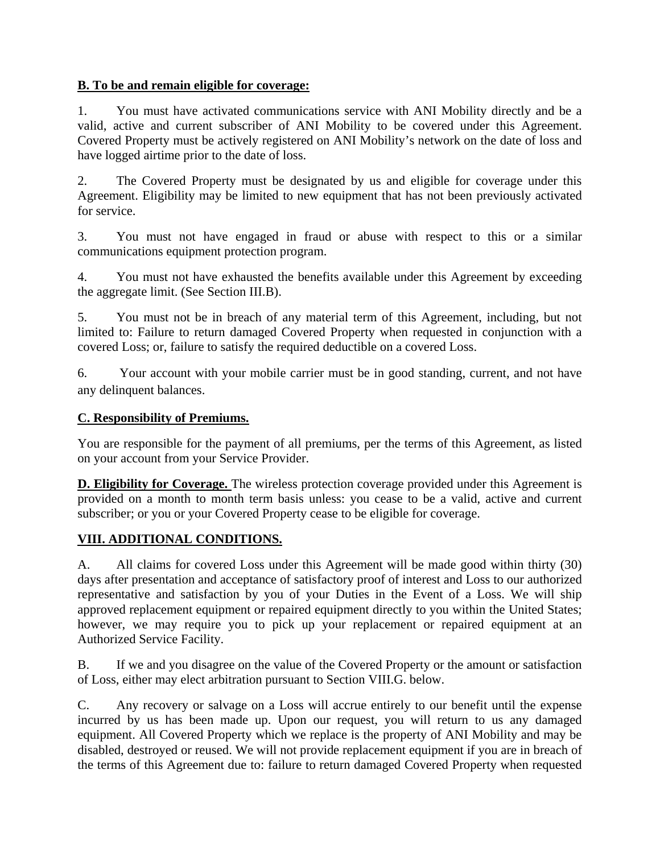## **B. To be and remain eligible for coverage:**

1. You must have activated communications service with ANI Mobility directly and be a valid, active and current subscriber of ANI Mobility to be covered under this Agreement. Covered Property must be actively registered on ANI Mobility's network on the date of loss and have logged airtime prior to the date of loss.

2. The Covered Property must be designated by us and eligible for coverage under this Agreement. Eligibility may be limited to new equipment that has not been previously activated for service.

3. You must not have engaged in fraud or abuse with respect to this or a similar communications equipment protection program.

4. You must not have exhausted the benefits available under this Agreement by exceeding the aggregate limit. (See Section III.B).

5. You must not be in breach of any material term of this Agreement, including, but not limited to: Failure to return damaged Covered Property when requested in conjunction with a covered Loss; or, failure to satisfy the required deductible on a covered Loss.

6. Your account with your mobile carrier must be in good standing, current, and not have any delinquent balances.

## **C. Responsibility of Premiums.**

You are responsible for the payment of all premiums, per the terms of this Agreement, as listed on your account from your Service Provider.

**D. Eligibility for Coverage.** The wireless protection coverage provided under this Agreement is provided on a month to month term basis unless: you cease to be a valid, active and current subscriber; or you or your Covered Property cease to be eligible for coverage.

# **VIII. ADDITIONAL CONDITIONS.**

A. All claims for covered Loss under this Agreement will be made good within thirty (30) days after presentation and acceptance of satisfactory proof of interest and Loss to our authorized representative and satisfaction by you of your Duties in the Event of a Loss. We will ship approved replacement equipment or repaired equipment directly to you within the United States; however, we may require you to pick up your replacement or repaired equipment at an Authorized Service Facility.

B. If we and you disagree on the value of the Covered Property or the amount or satisfaction of Loss, either may elect arbitration pursuant to Section VIII.G. below.

C. Any recovery or salvage on a Loss will accrue entirely to our benefit until the expense incurred by us has been made up. Upon our request, you will return to us any damaged equipment. All Covered Property which we replace is the property of ANI Mobility and may be disabled, destroyed or reused. We will not provide replacement equipment if you are in breach of the terms of this Agreement due to: failure to return damaged Covered Property when requested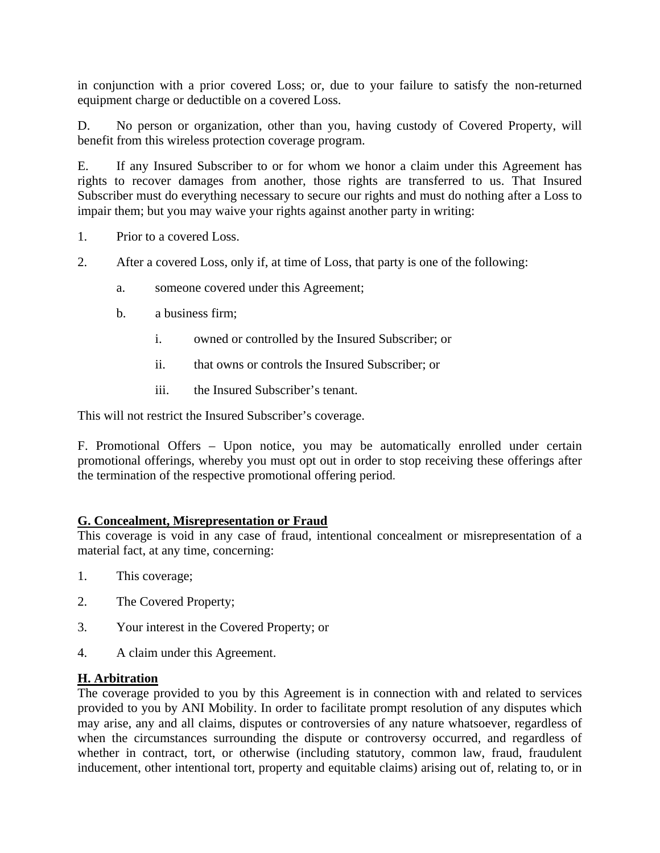in conjunction with a prior covered Loss; or, due to your failure to satisfy the non-returned equipment charge or deductible on a covered Loss.

D. No person or organization, other than you, having custody of Covered Property, will benefit from this wireless protection coverage program.

E. If any Insured Subscriber to or for whom we honor a claim under this Agreement has rights to recover damages from another, those rights are transferred to us. That Insured Subscriber must do everything necessary to secure our rights and must do nothing after a Loss to impair them; but you may waive your rights against another party in writing:

- 1. Prior to a covered Loss.
- 2. After a covered Loss, only if, at time of Loss, that party is one of the following:
	- a. someone covered under this Agreement;
	- b. a business firm;
		- i. owned or controlled by the Insured Subscriber; or
		- ii. that owns or controls the Insured Subscriber; or
		- iii. the Insured Subscriber's tenant.

This will not restrict the Insured Subscriber's coverage.

F. Promotional Offers – Upon notice, you may be automatically enrolled under certain promotional offerings, whereby you must opt out in order to stop receiving these offerings after the termination of the respective promotional offering period. 

#### **G. Concealment, Misrepresentation or Fraud**

This coverage is void in any case of fraud, intentional concealment or misrepresentation of a material fact, at any time, concerning:

- 1. This coverage;
- 2. The Covered Property;
- 3. Your interest in the Covered Property; or
- 4. A claim under this Agreement.

## **H. Arbitration**

The coverage provided to you by this Agreement is in connection with and related to services provided to you by ANI Mobility. In order to facilitate prompt resolution of any disputes which may arise, any and all claims, disputes or controversies of any nature whatsoever, regardless of when the circumstances surrounding the dispute or controversy occurred, and regardless of whether in contract, tort, or otherwise (including statutory, common law, fraud, fraudulent inducement, other intentional tort, property and equitable claims) arising out of, relating to, or in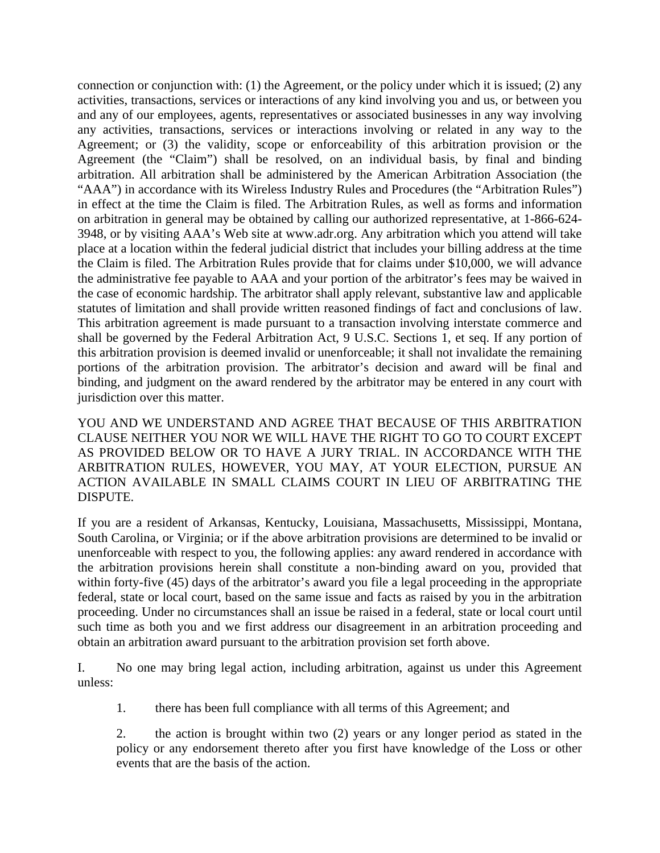connection or conjunction with: (1) the Agreement, or the policy under which it is issued; (2) any activities, transactions, services or interactions of any kind involving you and us, or between you and any of our employees, agents, representatives or associated businesses in any way involving any activities, transactions, services or interactions involving or related in any way to the Agreement; or (3) the validity, scope or enforceability of this arbitration provision or the Agreement (the "Claim") shall be resolved, on an individual basis, by final and binding arbitration. All arbitration shall be administered by the American Arbitration Association (the "AAA") in accordance with its Wireless Industry Rules and Procedures (the "Arbitration Rules") in effect at the time the Claim is filed. The Arbitration Rules, as well as forms and information on arbitration in general may be obtained by calling our authorized representative, at 1-866-624- 3948, or by visiting AAA's Web site at www.adr.org. Any arbitration which you attend will take place at a location within the federal judicial district that includes your billing address at the time the Claim is filed. The Arbitration Rules provide that for claims under \$10,000, we will advance the administrative fee payable to AAA and your portion of the arbitrator's fees may be waived in the case of economic hardship. The arbitrator shall apply relevant, substantive law and applicable statutes of limitation and shall provide written reasoned findings of fact and conclusions of law. This arbitration agreement is made pursuant to a transaction involving interstate commerce and shall be governed by the Federal Arbitration Act, 9 U.S.C. Sections 1, et seq. If any portion of this arbitration provision is deemed invalid or unenforceable; it shall not invalidate the remaining portions of the arbitration provision. The arbitrator's decision and award will be final and binding, and judgment on the award rendered by the arbitrator may be entered in any court with jurisdiction over this matter.

YOU AND WE UNDERSTAND AND AGREE THAT BECAUSE OF THIS ARBITRATION CLAUSE NEITHER YOU NOR WE WILL HAVE THE RIGHT TO GO TO COURT EXCEPT AS PROVIDED BELOW OR TO HAVE A JURY TRIAL. IN ACCORDANCE WITH THE ARBITRATION RULES, HOWEVER, YOU MAY, AT YOUR ELECTION, PURSUE AN ACTION AVAILABLE IN SMALL CLAIMS COURT IN LIEU OF ARBITRATING THE DISPUTE.

If you are a resident of Arkansas, Kentucky, Louisiana, Massachusetts, Mississippi, Montana, South Carolina, or Virginia; or if the above arbitration provisions are determined to be invalid or unenforceable with respect to you, the following applies: any award rendered in accordance with the arbitration provisions herein shall constitute a non-binding award on you, provided that within forty-five (45) days of the arbitrator's award you file a legal proceeding in the appropriate federal, state or local court, based on the same issue and facts as raised by you in the arbitration proceeding. Under no circumstances shall an issue be raised in a federal, state or local court until such time as both you and we first address our disagreement in an arbitration proceeding and obtain an arbitration award pursuant to the arbitration provision set forth above.

I. No one may bring legal action, including arbitration, against us under this Agreement unless:

1. there has been full compliance with all terms of this Agreement; and

2. the action is brought within two (2) years or any longer period as stated in the policy or any endorsement thereto after you first have knowledge of the Loss or other events that are the basis of the action.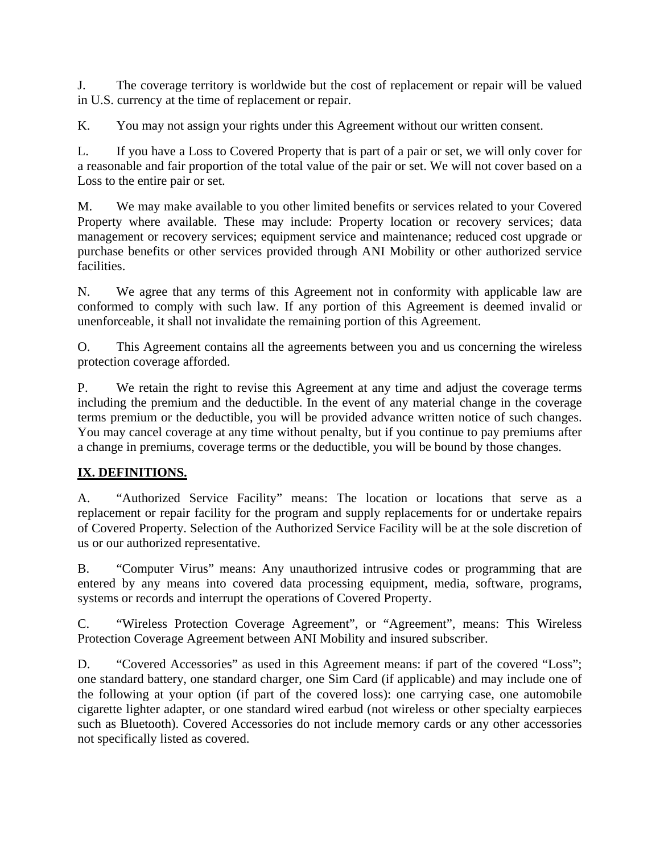J. The coverage territory is worldwide but the cost of replacement or repair will be valued in U.S. currency at the time of replacement or repair.

K. You may not assign your rights under this Agreement without our written consent.

L. If you have a Loss to Covered Property that is part of a pair or set, we will only cover for a reasonable and fair proportion of the total value of the pair or set. We will not cover based on a Loss to the entire pair or set.

M. We may make available to you other limited benefits or services related to your Covered Property where available. These may include: Property location or recovery services; data management or recovery services; equipment service and maintenance; reduced cost upgrade or purchase benefits or other services provided through ANI Mobility or other authorized service facilities.

N. We agree that any terms of this Agreement not in conformity with applicable law are conformed to comply with such law. If any portion of this Agreement is deemed invalid or unenforceable, it shall not invalidate the remaining portion of this Agreement.

O. This Agreement contains all the agreements between you and us concerning the wireless protection coverage afforded.

P. We retain the right to revise this Agreement at any time and adjust the coverage terms including the premium and the deductible. In the event of any material change in the coverage terms premium or the deductible, you will be provided advance written notice of such changes. You may cancel coverage at any time without penalty, but if you continue to pay premiums after a change in premiums, coverage terms or the deductible, you will be bound by those changes.

# **IX. DEFINITIONS.**

A. "Authorized Service Facility" means: The location or locations that serve as a replacement or repair facility for the program and supply replacements for or undertake repairs of Covered Property. Selection of the Authorized Service Facility will be at the sole discretion of us or our authorized representative.

B. "Computer Virus" means: Any unauthorized intrusive codes or programming that are entered by any means into covered data processing equipment, media, software, programs, systems or records and interrupt the operations of Covered Property.

C. "Wireless Protection Coverage Agreement", or "Agreement", means: This Wireless Protection Coverage Agreement between ANI Mobility and insured subscriber.

D. "Covered Accessories" as used in this Agreement means: if part of the covered "Loss"; one standard battery, one standard charger, one Sim Card (if applicable) and may include one of the following at your option (if part of the covered loss): one carrying case, one automobile cigarette lighter adapter, or one standard wired earbud (not wireless or other specialty earpieces such as Bluetooth). Covered Accessories do not include memory cards or any other accessories not specifically listed as covered.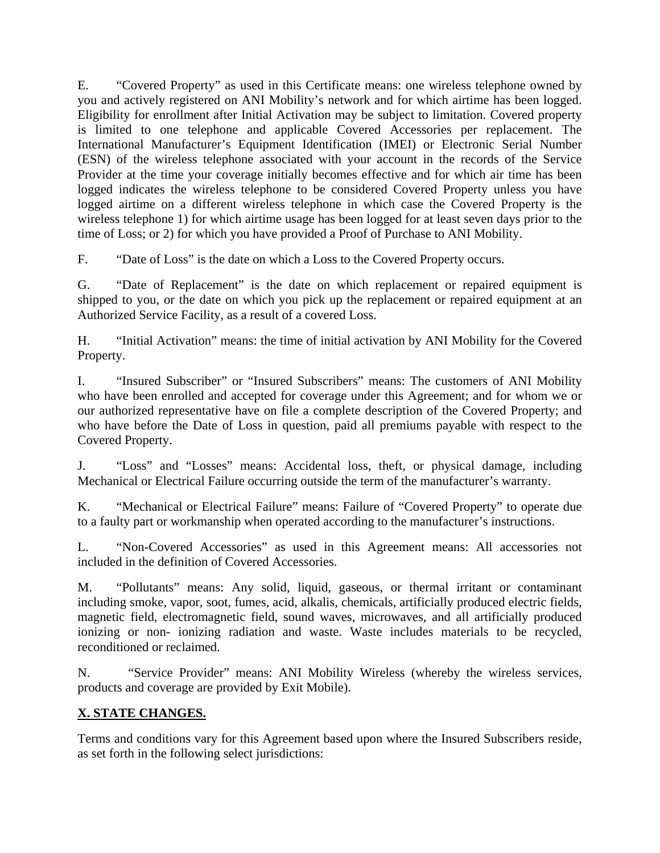E. "Covered Property" as used in this Certificate means: one wireless telephone owned by you and actively registered on ANI Mobility's network and for which airtime has been logged. Eligibility for enrollment after Initial Activation may be subject to limitation. Covered property is limited to one telephone and applicable Covered Accessories per replacement. The International Manufacturer's Equipment Identification (IMEI) or Electronic Serial Number (ESN) of the wireless telephone associated with your account in the records of the Service Provider at the time your coverage initially becomes effective and for which air time has been logged indicates the wireless telephone to be considered Covered Property unless you have logged airtime on a different wireless telephone in which case the Covered Property is the wireless telephone 1) for which airtime usage has been logged for at least seven days prior to the time of Loss; or 2) for which you have provided a Proof of Purchase to ANI Mobility.

F. "Date of Loss" is the date on which a Loss to the Covered Property occurs.

G. "Date of Replacement" is the date on which replacement or repaired equipment is shipped to you, or the date on which you pick up the replacement or repaired equipment at an Authorized Service Facility, as a result of a covered Loss.

H. "Initial Activation" means: the time of initial activation by ANI Mobility for the Covered Property.

I. "Insured Subscriber" or "Insured Subscribers" means: The customers of ANI Mobility who have been enrolled and accepted for coverage under this Agreement; and for whom we or our authorized representative have on file a complete description of the Covered Property; and who have before the Date of Loss in question, paid all premiums payable with respect to the Covered Property.

J. "Loss" and "Losses" means: Accidental loss, theft, or physical damage, including Mechanical or Electrical Failure occurring outside the term of the manufacturer's warranty.

K. "Mechanical or Electrical Failure" means: Failure of "Covered Property" to operate due to a faulty part or workmanship when operated according to the manufacturer's instructions.

L. "Non-Covered Accessories" as used in this Agreement means: All accessories not included in the definition of Covered Accessories.

M. "Pollutants" means: Any solid, liquid, gaseous, or thermal irritant or contaminant including smoke, vapor, soot, fumes, acid, alkalis, chemicals, artificially produced electric fields, magnetic field, electromagnetic field, sound waves, microwaves, and all artificially produced ionizing or non- ionizing radiation and waste. Waste includes materials to be recycled, reconditioned or reclaimed.

N. "Service Provider" means: ANI Mobility Wireless (whereby the wireless services, products and coverage are provided by Exit Mobile).

# **X. STATE CHANGES.**

Terms and conditions vary for this Agreement based upon where the Insured Subscribers reside, as set forth in the following select jurisdictions: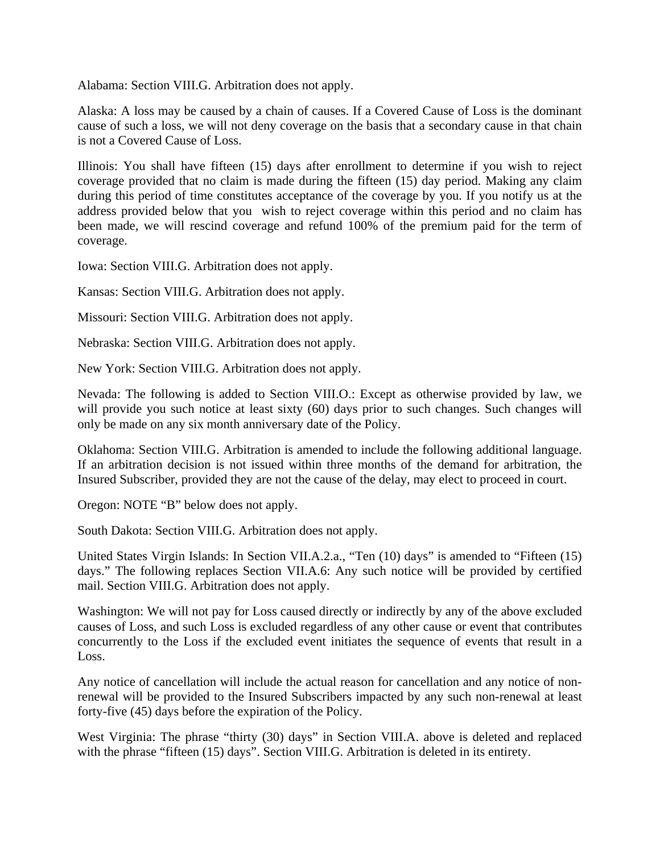Alabama: Section VIII.G. Arbitration does not apply.

Alaska: A loss may be caused by a chain of causes. If a Covered Cause of Loss is the dominant cause of such a loss, we will not deny coverage on the basis that a secondary cause in that chain is not a Covered Cause of Loss.

Illinois: You shall have fifteen (15) days after enrollment to determine if you wish to reject coverage provided that no claim is made during the fifteen (15) day period. Making any claim during this period of time constitutes acceptance of the coverage by you. If you notify us at the address provided below that you wish to reject coverage within this period and no claim has been made, we will rescind coverage and refund 100% of the premium paid for the term of coverage.

Iowa: Section VIII.G. Arbitration does not apply.

Kansas: Section VIII.G. Arbitration does not apply.

Missouri: Section VIII.G. Arbitration does not apply.

Nebraska: Section VIII.G. Arbitration does not apply.

New York: Section VIII.G. Arbitration does not apply.

Nevada: The following is added to Section VIII.O.: Except as otherwise provided by law, we will provide you such notice at least sixty (60) days prior to such changes. Such changes will only be made on any six month anniversary date of the Policy.

Oklahoma: Section VIII.G. Arbitration is amended to include the following additional language. If an arbitration decision is not issued within three months of the demand for arbitration, the Insured Subscriber, provided they are not the cause of the delay, may elect to proceed in court.

Oregon: NOTE "B" below does not apply.

South Dakota: Section VIII.G. Arbitration does not apply.

United States Virgin Islands: In Section VII.A.2.a., "Ten (10) days" is amended to "Fifteen (15) days." The following replaces Section VII.A.6: Any such notice will be provided by certified mail. Section VIII.G. Arbitration does not apply.

Washington: We will not pay for Loss caused directly or indirectly by any of the above excluded causes of Loss, and such Loss is excluded regardless of any other cause or event that contributes concurrently to the Loss if the excluded event initiates the sequence of events that result in a Loss.

Any notice of cancellation will include the actual reason for cancellation and any notice of nonrenewal will be provided to the Insured Subscribers impacted by any such non-renewal at least forty-five (45) days before the expiration of the Policy.

West Virginia: The phrase "thirty (30) days" in Section VIII.A. above is deleted and replaced with the phrase "fifteen (15) days". Section VIII.G. Arbitration is deleted in its entirety.